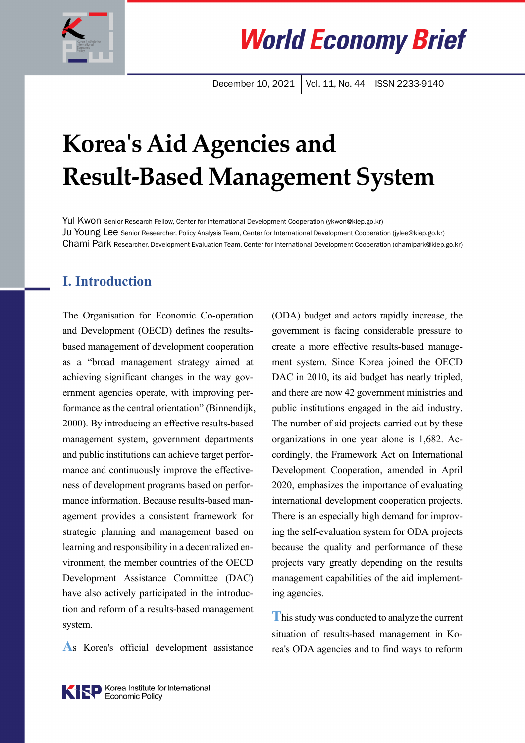

**World Economy Brief** 

December 10, 2021 | Vol. 11, No. 44 | ISSN 2233-9140

# **Koreaʹs Aid Agencies and Result-Based Management System**

Yul Kwon Senior Research Fellow, Center for International Development Cooperation (ykwon@kiep.go.kr) Ju Young Lee Senior Researcher, Policy Analysis Team, Center for International Development Cooperation (jylee@kiep.go.kr) Chami Park Researcher, Development Evaluation Team, Center for International Development Cooperation (chamipark@kiep.go.kr)

### **I. Introduction**

The Organisation for Economic Co-operation and Development (OECD) defines the resultsbased management of development cooperation as a "broad management strategy aimed at achieving significant changes in the way government agencies operate, with improving performance as the central orientation" (Binnendijk, 2000). By introducing an effective results-based management system, government departments and public institutions can achieve target performance and continuously improve the effectiveness of development programs based on performance information. Because results-based management provides a consistent framework for strategic planning and management based on learning and responsibility in a decentralized environment, the member countries of the OECD Development Assistance Committee (DAC) have also actively participated in the introduction and reform of a results-based management system.

**A**s Korea's official development assistance

(ODA) budget and actors rapidly increase, the government is facing considerable pressure to create a more effective results-based management system. Since Korea joined the OECD DAC in 2010, its aid budget has nearly tripled, and there are now 42 government ministries and public institutions engaged in the aid industry. The number of aid projects carried out by these organizations in one year alone is 1,682. Accordingly, the Framework Act on International Development Cooperation, amended in April 2020, emphasizes the importance of evaluating international development cooperation projects. There is an especially high demand for improving the self-evaluation system for ODA projects because the quality and performance of these projects vary greatly depending on the results management capabilities of the aid implementing agencies.

**T**his study was conducted to analyze the current situation of results-based management in Korea's ODA agencies and to find ways to reform

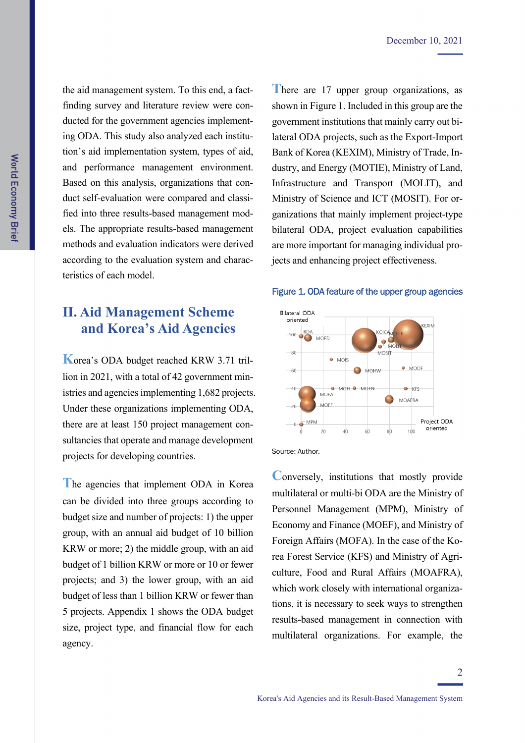the aid management system. To this end, a factfinding survey and literature review were conducted for the government agencies implementing ODA. This study also analyzed each institution's aid implementation system, types of aid, and performance management environment. Based on this analysis, organizations that conduct self-evaluation were compared and classified into three results-based management models. The appropriate results-based management methods and evaluation indicators were derived according to the evaluation system and characteristics of each model.

## **II. Aid Management Scheme and Korea's Aid Agencies**

**K**orea's ODA budget reached KRW 3.71 trillion in 2021, with a total of 42 government ministries and agencies implementing 1,682 projects. Under these organizations implementing ODA, there are at least 150 project management consultancies that operate and manage development projects for developing countries.

**T**he agencies that implement ODA in Korea can be divided into three groups according to budget size and number of projects: 1) the upper group, with an annual aid budget of 10 billion KRW or more; 2) the middle group, with an aid budget of 1 billion KRW or more or 10 or fewer projects; and 3) the lower group, with an aid budget of less than 1 billion KRW or fewer than 5 projects. Appendix 1 shows the ODA budget size, project type, and financial flow for each agency.

There are 17 upper group organizations, as shown in Figure 1. Included in this group are the government institutions that mainly carry out bilateral ODA projects, such as the Export-Import Bank of Korea (KEXIM), Ministry of Trade, Industry, and Energy (MOTIE), Ministry of Land, Infrastructure and Transport (MOLIT), and Ministry of Science and ICT (MOSIT). For organizations that mainly implement project-type bilateral ODA, project evaluation capabilities are more important for managing individual projects and enhancing project effectiveness.

#### Figure 1. ODA feature of the upper group agencies



Source: Author.

**Conversely, institutions that mostly provide** multilateral or multi-bi ODA are the Ministry of Personnel Management (MPM), Ministry of Economy and Finance (MOEF), and Ministry of Foreign Affairs (MOFA). In the case of the Korea Forest Service (KFS) and Ministry of Agriculture, Food and Rural Affairs (MOAFRA), which work closely with international organizations, it is necessary to seek ways to strengthen results-based management in connection with multilateral organizations. For example, the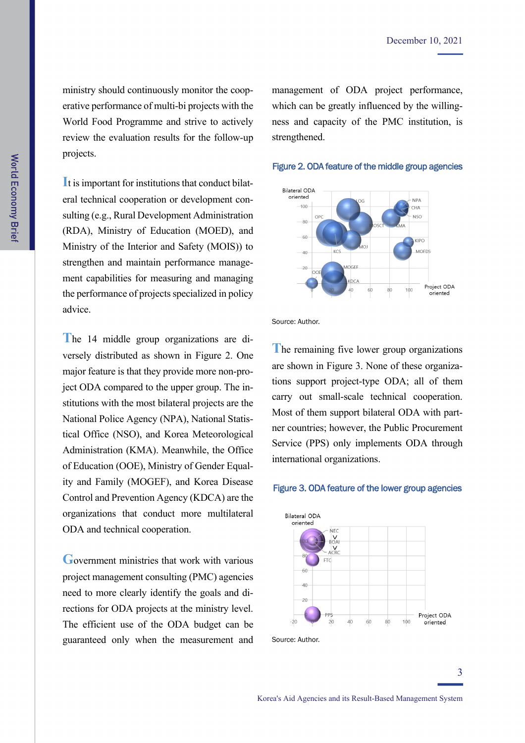ministry should continuously monitor the cooperative performance of multi-bi projects with the World Food Programme and strive to actively review the evaluation results for the follow-up projects.

**I**t is important for institutions that conduct bilateral technical cooperation or development consulting (e.g., Rural Development Administration (RDA), Ministry of Education (MOED), and Ministry of the Interior and Safety (MOIS)) to strengthen and maintain performance management capabilities for measuring and managing the performance of projects specialized in policy advice.

**T**he 14 middle group organizations are diversely distributed as shown in Figure 2. One major feature is that they provide more non-project ODA compared to the upper group. The institutions with the most bilateral projects are the National Police Agency (NPA), National Statistical Office (NSO), and Korea Meteorological Administration (KMA). Meanwhile, the Office of Education (OOE), Ministry of Gender Equality and Family (MOGEF), and Korea Disease Control and Prevention Agency (KDCA) are the organizations that conduct more multilateral ODA and technical cooperation.

**G**overnment ministries that work with various project management consulting (PMC) agencies need to more clearly identify the goals and directions for ODA projects at the ministry level. The efficient use of the ODA budget can be guaranteed only when the measurement and management of ODA project performance, which can be greatly influenced by the willingness and capacity of the PMC institution, is strengthened.

#### Figure 2. ODA feature of the middle group agencies



Source: Author.

**T**he remaining five lower group organizations are shown in Figure 3. None of these organizations support project-type ODA; all of them carry out small-scale technical cooperation. Most of them support bilateral ODA with partner countries; however, the Public Procurement Service (PPS) only implements ODA through international organizations.

#### Figure 3. ODA feature of the lower group agencies

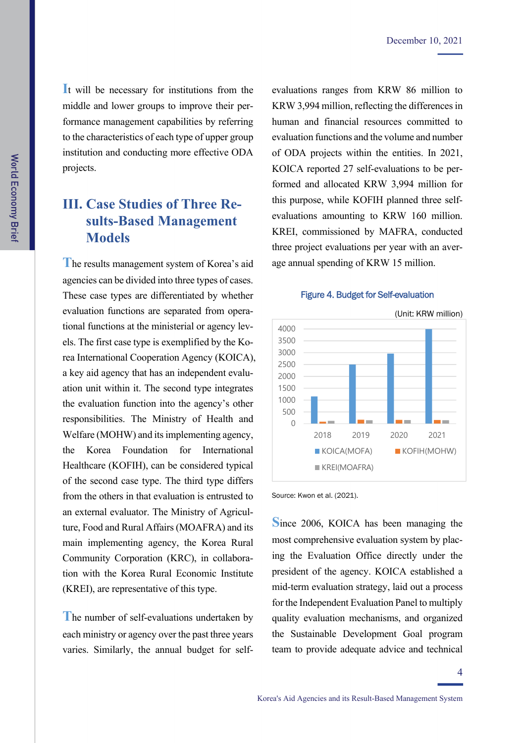**I**t will be necessary for institutions from the middle and lower groups to improve their performance management capabilities by referring to the characteristics of each type of upper group institution and conducting more effective ODA projects.

## **III. Case Studies of Three Results-Based Management Models**

**T**he results management system of Korea's aid agencies can be divided into three types of cases. These case types are differentiated by whether evaluation functions are separated from operational functions at the ministerial or agency levels. The first case type is exemplified by the Korea International Cooperation Agency (KOICA), a key aid agency that has an independent evaluation unit within it. The second type integrates the evaluation function into the agency's other responsibilities. The Ministry of Health and Welfare (MOHW) and its implementing agency, the Korea Foundation for International Healthcare (KOFIH), can be considered typical of the second case type. The third type differs from the others in that evaluation is entrusted to an external evaluator. The Ministry of Agriculture, Food and Rural Affairs (MOAFRA) and its main implementing agency, the Korea Rural Community Corporation (KRC), in collaboration with the Korea Rural Economic Institute (KREI), are representative of this type.

**T**he number of self-evaluations undertaken by each ministry or agency over the past three years varies. Similarly, the annual budget for selfevaluations ranges from KRW 86 million to KRW 3,994 million, reflecting the differences in human and financial resources committed to evaluation functions and the volume and number of ODA projects within the entities. In 2021, KOICA reported 27 self-evaluations to be performed and allocated KRW 3,994 million for this purpose, while KOFIH planned three selfevaluations amounting to KRW 160 million. KREI, commissioned by MAFRA, conducted three project evaluations per year with an average annual spending of KRW 15 million.



#### Figure 4. Budget for Self-evaluation

Source: Kwon et al. (2021).

**S**ince 2006, KOICA has been managing the most comprehensive evaluation system by placing the Evaluation Office directly under the president of the agency. KOICA established a mid-term evaluation strategy, laid out a process for the Independent Evaluation Panel to multiply quality evaluation mechanisms, and organized the Sustainable Development Goal program team to provide adequate advice and technical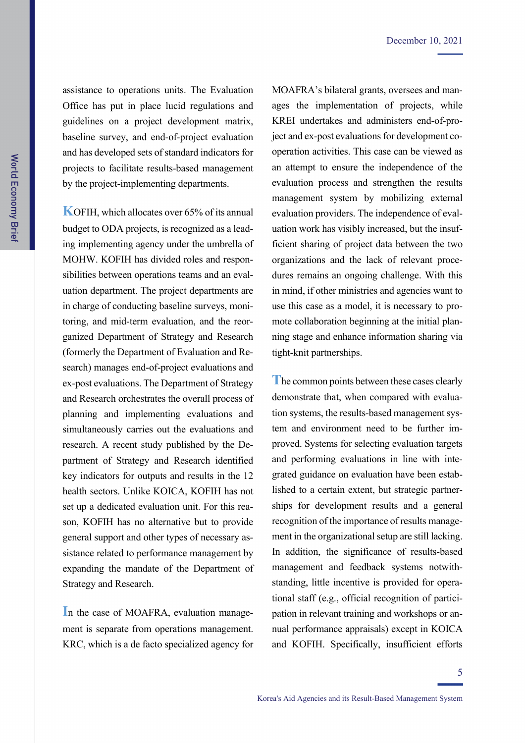assistance to operations units. The Evaluation Office has put in place lucid regulations and guidelines on a project development matrix, baseline survey, and end-of-project evaluation and has developed sets of standard indicators for projects to facilitate results-based management by the project-implementing departments.

**KOFIH, which allocates over 65% of its annual** budget to ODA projects, is recognized as a leading implementing agency under the umbrella of MOHW. KOFIH has divided roles and responsibilities between operations teams and an evaluation department. The project departments are in charge of conducting baseline surveys, monitoring, and mid-term evaluation, and the reorganized Department of Strategy and Research (formerly the Department of Evaluation and Research) manages end-of-project evaluations and ex-post evaluations. The Department of Strategy and Research orchestrates the overall process of planning and implementing evaluations and simultaneously carries out the evaluations and research. A recent study published by the Department of Strategy and Research identified key indicators for outputs and results in the 12 health sectors. Unlike KOICA, KOFIH has not set up a dedicated evaluation unit. For this reason, KOFIH has no alternative but to provide general support and other types of necessary assistance related to performance management by expanding the mandate of the Department of Strategy and Research.

In the case of MOAFRA, evaluation management is separate from operations management. KRC, which is a de facto specialized agency for MOAFRA's bilateral grants, oversees and manages the implementation of projects, while KREI undertakes and administers end-of-project and ex-post evaluations for development cooperation activities. This case can be viewed as an attempt to ensure the independence of the evaluation process and strengthen the results management system by mobilizing external evaluation providers. The independence of evaluation work has visibly increased, but the insufficient sharing of project data between the two organizations and the lack of relevant procedures remains an ongoing challenge. With this in mind, if other ministries and agencies want to use this case as a model, it is necessary to promote collaboration beginning at the initial planning stage and enhance information sharing via tight-knit partnerships.

**T**he common points between these cases clearly demonstrate that, when compared with evaluation systems, the results-based management system and environment need to be further improved. Systems for selecting evaluation targets and performing evaluations in line with integrated guidance on evaluation have been established to a certain extent, but strategic partnerships for development results and a general recognition of the importance of results management in the organizational setup are still lacking. In addition, the significance of results-based management and feedback systems notwithstanding, little incentive is provided for operational staff (e.g., official recognition of participation in relevant training and workshops or annual performance appraisals) except in KOICA and KOFIH. Specifically, insufficient efforts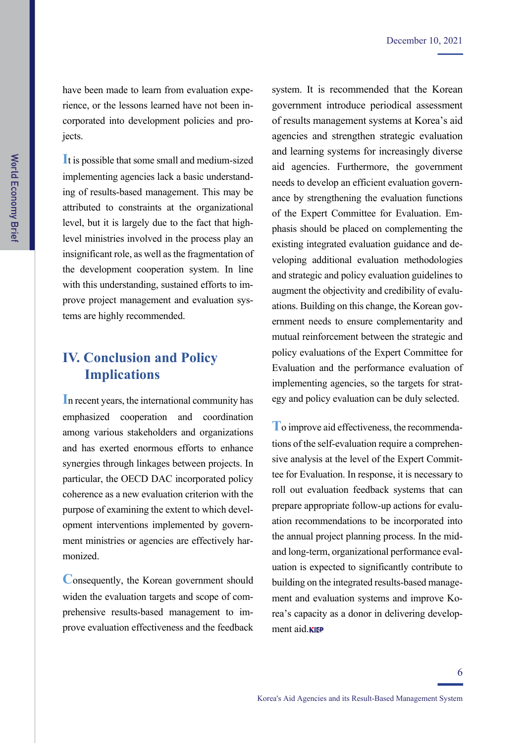have been made to learn from evaluation experience, or the lessons learned have not been incorporated into development policies and projects.

**I**t is possible that some small and medium-sized implementing agencies lack a basic understanding of results-based management. This may be attributed to constraints at the organizational level, but it is largely due to the fact that highlevel ministries involved in the process play an insignificant role, as well as the fragmentation of the development cooperation system. In line with this understanding, sustained efforts to improve project management and evaluation systems are highly recommended.

## **IV. Conclusion and Policy Implications**

**I**n recent years, the international community has emphasized cooperation and coordination among various stakeholders and organizations and has exerted enormous efforts to enhance synergies through linkages between projects. In particular, the OECD DAC incorporated policy coherence as a new evaluation criterion with the purpose of examining the extent to which development interventions implemented by government ministries or agencies are effectively harmonized.

**C**onsequently, the Korean government should widen the evaluation targets and scope of comprehensive results-based management to improve evaluation effectiveness and the feedback system. It is recommended that the Korean government introduce periodical assessment of results management systems at Korea's aid agencies and strengthen strategic evaluation and learning systems for increasingly diverse aid agencies. Furthermore, the government needs to develop an efficient evaluation governance by strengthening the evaluation functions of the Expert Committee for Evaluation. Emphasis should be placed on complementing the existing integrated evaluation guidance and developing additional evaluation methodologies and strategic and policy evaluation guidelines to augment the objectivity and credibility of evaluations. Building on this change, the Korean government needs to ensure complementarity and mutual reinforcement between the strategic and policy evaluations of the Expert Committee for Evaluation and the performance evaluation of implementing agencies, so the targets for strategy and policy evaluation can be duly selected.

**T**o improve aid effectiveness, the recommendations of the self-evaluation require a comprehensive analysis at the level of the Expert Committee for Evaluation. In response, it is necessary to roll out evaluation feedback systems that can prepare appropriate follow-up actions for evaluation recommendations to be incorporated into the annual project planning process. In the midand long-term, organizational performance evaluation is expected to significantly contribute to building on the integrated results-based management and evaluation systems and improve Korea's capacity as a donor in delivering development aid.**KIEP**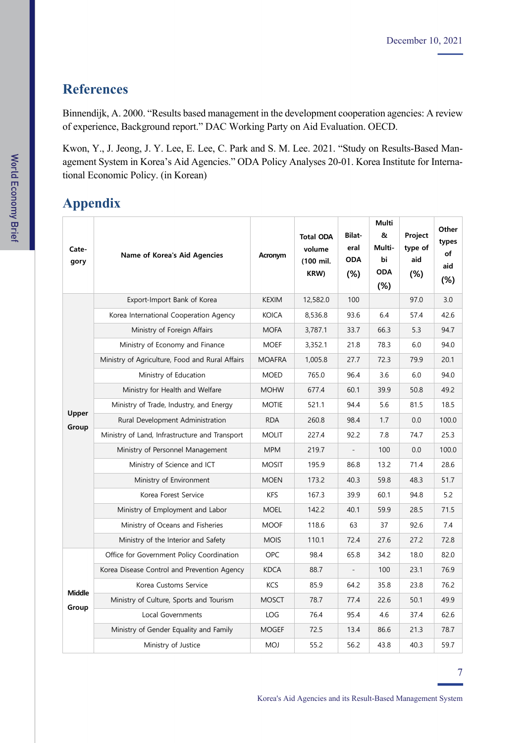## **References**

Binnendijk, A. 2000. "Results based management in the development cooperation agencies: A review of experience, Background report." DAC Working Party on Aid Evaluation. OECD.

Kwon, Y., J. Jeong, J. Y. Lee, E. Lee, C. Park and S. M. Lee. 2021. "Study on Results-Based Management System in Korea's Aid Agencies." ODA Policy Analyses 20-01. Korea Institute for International Economic Policy. (in Korean)

# **Appendix**

| Cate-<br>gory   | Name of Korea's Aid Agencies                    | Acronym       | <b>Total ODA</b><br>volume<br>(100 mil.<br>KRW) | <b>Bilat</b><br>eral<br><b>ODA</b><br>(%) | <b>Multi</b><br>&<br>Multi-<br>bi<br><b>ODA</b><br>(%) | Project<br>type of<br>aid<br>(%) | Other<br>types<br>of<br>aid<br>$(\%)$ |
|-----------------|-------------------------------------------------|---------------|-------------------------------------------------|-------------------------------------------|--------------------------------------------------------|----------------------------------|---------------------------------------|
| Upper<br>Group  | Export-Import Bank of Korea                     | <b>KEXIM</b>  | 12,582.0                                        | 100                                       |                                                        | 97.0                             | 3.0                                   |
|                 | Korea International Cooperation Agency          | <b>KOICA</b>  | 8,536.8                                         | 93.6                                      | 6.4                                                    | 57.4                             | 42.6                                  |
|                 | Ministry of Foreign Affairs                     | <b>MOFA</b>   | 3,787.1                                         | 33.7                                      | 66.3                                                   | 5.3                              | 94.7                                  |
|                 | Ministry of Economy and Finance                 | <b>MOEF</b>   | 3,352.1                                         | 21.8                                      | 78.3                                                   | 6.0                              | 94.0                                  |
|                 | Ministry of Agriculture, Food and Rural Affairs | <b>MOAFRA</b> | 1,005.8                                         | 27.7                                      | 72.3                                                   | 79.9                             | 20.1                                  |
|                 | Ministry of Education                           | <b>MOED</b>   | 765.0                                           | 96.4                                      | 3.6                                                    | 6.0                              | 94.0                                  |
|                 | Ministry for Health and Welfare                 | <b>MOHW</b>   | 677.4                                           | 60.1                                      | 39.9                                                   | 50.8                             | 49.2                                  |
|                 | Ministry of Trade, Industry, and Energy         | <b>MOTIE</b>  | 521.1                                           | 94.4                                      | 5.6                                                    | 81.5                             | 18.5                                  |
|                 | Rural Development Administration                | <b>RDA</b>    | 260.8                                           | 98.4                                      | 1.7                                                    | 0.0                              | 100.0                                 |
|                 | Ministry of Land, Infrastructure and Transport  | <b>MOLIT</b>  | 227.4                                           | 92.2                                      | 7.8                                                    | 74.7                             | 25.3                                  |
|                 | Ministry of Personnel Management                | <b>MPM</b>    | 219.7                                           |                                           | 100                                                    | 0.0                              | 100.0                                 |
|                 | Ministry of Science and ICT                     | <b>MOSIT</b>  | 195.9                                           | 86.8                                      | 13.2                                                   | 71.4                             | 28.6                                  |
|                 | Ministry of Environment                         | <b>MOEN</b>   | 173.2                                           | 40.3                                      | 59.8                                                   | 48.3                             | 51.7                                  |
|                 | Korea Forest Service                            | KFS           | 167.3                                           | 39.9                                      | 60.1                                                   | 94.8                             | 5.2                                   |
|                 | Ministry of Employment and Labor                | <b>MOEL</b>   | 142.2                                           | 40.1                                      | 59.9                                                   | 28.5                             | 71.5                                  |
|                 | Ministry of Oceans and Fisheries                | <b>MOOF</b>   | 118.6                                           | 63                                        | 37                                                     | 92.6                             | 7.4                                   |
|                 | Ministry of the Interior and Safety             | <b>MOIS</b>   | 110.1                                           | 72.4                                      | 27.6                                                   | 27.2                             | 72.8                                  |
| Middle<br>Group | Office for Government Policy Coordination       | <b>OPC</b>    | 98.4                                            | 65.8                                      | 34.2                                                   | 18.0                             | 82.0                                  |
|                 | Korea Disease Control and Prevention Agency     | <b>KDCA</b>   | 88.7                                            | $\overline{\phantom{a}}$                  | 100                                                    | 23.1                             | 76.9                                  |
|                 | Korea Customs Service                           | <b>KCS</b>    | 85.9                                            | 64.2                                      | 35.8                                                   | 23.8                             | 76.2                                  |
|                 | Ministry of Culture, Sports and Tourism         | <b>MOSCT</b>  | 78.7                                            | 77.4                                      | 22.6                                                   | 50.1                             | 49.9                                  |
|                 | Local Governments                               | <b>LOG</b>    | 76.4                                            | 95.4                                      | 4.6                                                    | 37.4                             | 62.6                                  |
|                 | Ministry of Gender Equality and Family          | <b>MOGEF</b>  | 72.5                                            | 13.4                                      | 86.6                                                   | 21.3                             | 78.7                                  |
|                 | Ministry of Justice                             | <b>MOJ</b>    | 55.2                                            | 56.2                                      | 43.8                                                   | 40.3                             | 59.7                                  |